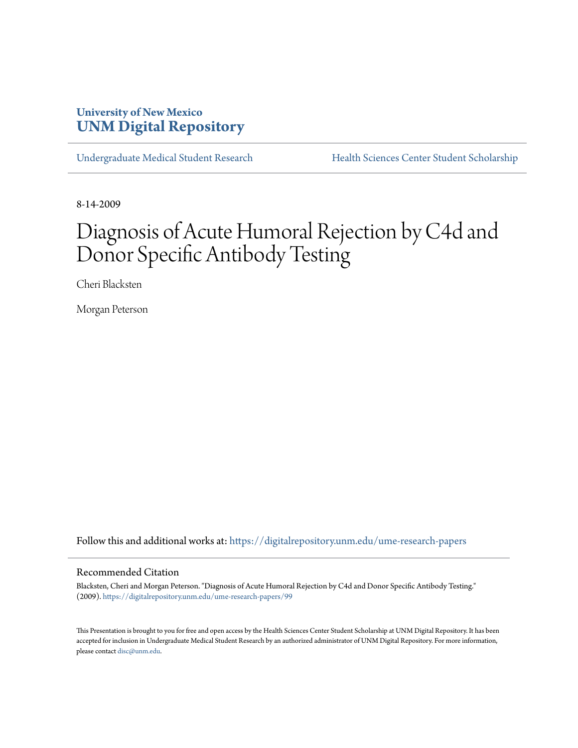## **University of New Mexico [UNM Digital Repository](https://digitalrepository.unm.edu?utm_source=digitalrepository.unm.edu%2Fume-research-papers%2F99&utm_medium=PDF&utm_campaign=PDFCoverPages)**

[Undergraduate Medical Student Research](https://digitalrepository.unm.edu/ume-research-papers?utm_source=digitalrepository.unm.edu%2Fume-research-papers%2F99&utm_medium=PDF&utm_campaign=PDFCoverPages) [Health Sciences Center Student Scholarship](https://digitalrepository.unm.edu/hsc-students?utm_source=digitalrepository.unm.edu%2Fume-research-papers%2F99&utm_medium=PDF&utm_campaign=PDFCoverPages)

8-14-2009

# Diagnosis of Acute Humoral Rejection by C4d and Donor Specific Antibody Testing

Cheri Blacksten

Morgan Peterson

Follow this and additional works at: [https://digitalrepository.unm.edu/ume-research-papers](https://digitalrepository.unm.edu/ume-research-papers?utm_source=digitalrepository.unm.edu%2Fume-research-papers%2F99&utm_medium=PDF&utm_campaign=PDFCoverPages)

#### Recommended Citation

Blacksten, Cheri and Morgan Peterson. "Diagnosis of Acute Humoral Rejection by C4d and Donor Specific Antibody Testing." (2009). [https://digitalrepository.unm.edu/ume-research-papers/99](https://digitalrepository.unm.edu/ume-research-papers/99?utm_source=digitalrepository.unm.edu%2Fume-research-papers%2F99&utm_medium=PDF&utm_campaign=PDFCoverPages)

This Presentation is brought to you for free and open access by the Health Sciences Center Student Scholarship at UNM Digital Repository. It has been accepted for inclusion in Undergraduate Medical Student Research by an authorized administrator of UNM Digital Repository. For more information, please contact [disc@unm.edu.](mailto:disc@unm.edu)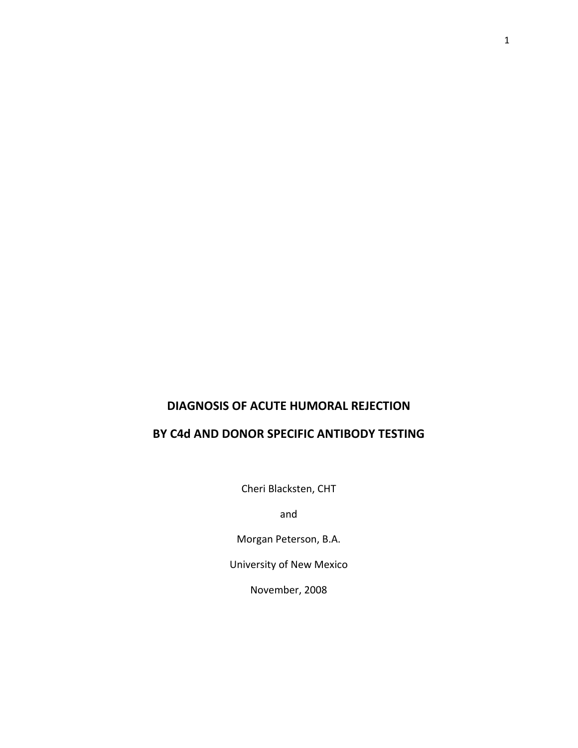### **DIAGNOSIS OF ACUTE HUMORAL REJECTION**

## **BY C4d AND DONOR SPECIFIC ANTIBODY TESTING**

Cheri Blacksten, CHT

and

Morgan Peterson, B.A.

University of New Mexico

November, 2008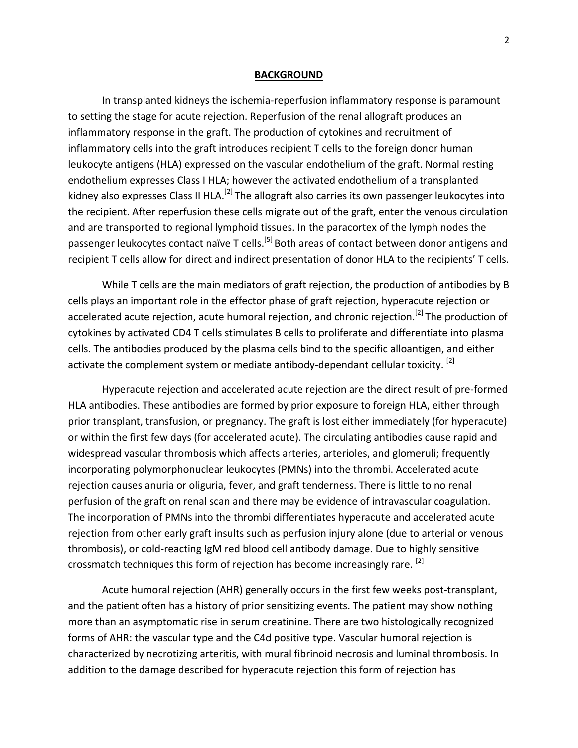#### **BACKGROUND**

In transplanted kidneys the ischemia‐reperfusion inflammatory response is paramount to setting the stage for acute rejection. Reperfusion of the renal allograft produces an inflammatory response in the graft. The production of cytokines and recruitment of inflammatory cells into the graft introduces recipient T cells to the foreign donor human leukocyte antigens (HLA) expressed on the vascular endothelium of the graft. Normal resting endothelium expresses Class I HLA; however the activated endothelium of a transplanted kidney also expresses Class II HLA.<sup>[2]</sup> The allograft also carries its own passenger leukocytes into the recipient. After reperfusion these cells migrate out of the graft, enter the venous circulation and are transported to regional lymphoid tissues. In the paracortex of the lymph nodes the passenger leukocytes contact naïve T cells.<sup>[5]</sup> Both areas of contact between donor antigens and recipient T cells allow for direct and indirect presentation of donor HLA to the recipients' T cells.

While T cells are the main mediators of graft rejection, the production of antibodies by B cells plays an important role in the effector phase of graft rejection, hyperacute rejection or accelerated acute rejection, acute humoral rejection, and chronic rejection.<sup>[2]</sup> The production of cytokines by activated CD4 T cells stimulates B cells to proliferate and differentiate into plasma cells. The antibodies produced by the plasma cells bind to the specific alloantigen, and either activate the complement system or mediate antibody-dependant cellular toxicity. [2]

Hyperacute rejection and accelerated acute rejection are the direct result of pre‐formed HLA antibodies. These antibodies are formed by prior exposure to foreign HLA, either through prior transplant, transfusion, or pregnancy. The graft is lost either immediately (for hyperacute) or within the first few days (for accelerated acute). The circulating antibodies cause rapid and widespread vascular thrombosis which affects arteries, arterioles, and glomeruli; frequently incorporating polymorphonuclear leukocytes (PMNs) into the thrombi. Accelerated acute rejection causes anuria or oliguria, fever, and graft tenderness. There is little to no renal perfusion of the graft on renal scan and there may be evidence of intravascular coagulation. The incorporation of PMNs into the thrombi differentiates hyperacute and accelerated acute rejection from other early graft insults such as perfusion injury alone (due to arterial or venous thrombosis), or cold‐reacting IgM red blood cell antibody damage. Due to highly sensitive crossmatch techniques this form of rejection has become increasingly rare. <sup>[2]</sup>

Acute humoral rejection (AHR) generally occurs in the first few weeks post‐transplant, and the patient often has a history of prior sensitizing events. The patient may show nothing more than an asymptomatic rise in serum creatinine. There are two histologically recognized forms of AHR: the vascular type and the C4d positive type. Vascular humoral rejection is characterized by necrotizing arteritis, with mural fibrinoid necrosis and luminal thrombosis. In addition to the damage described for hyperacute rejection this form of rejection has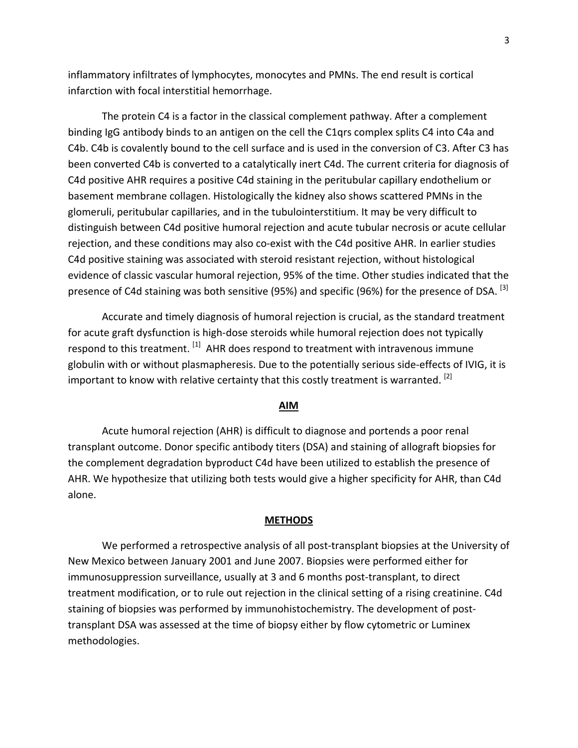inflammatory infiltrates of lymphocytes, monocytes and PMNs. The end result is cortical infarction with focal interstitial hemorrhage.

The protein C4 is a factor in the classical complement pathway. After a complement binding IgG antibody binds to an antigen on the cell the C1qrs complex splits C4 into C4a and C4b. C4b is covalently bound to the cell surface and is used in the conversion of C3. After C3 has been converted C4b is converted to a catalytically inert C4d. The current criteria for diagnosis of C4d positive AHR requires a positive C4d staining in the peritubular capillary endothelium or basement membrane collagen. Histologically the kidney also shows scattered PMNs in the glomeruli, peritubular capillaries, and in the tubulointerstitium. It may be very difficult to distinguish between C4d positive humoral rejection and acute tubular necrosis or acute cellular rejection, and these conditions may also co-exist with the C4d positive AHR. In earlier studies C4d positive staining was associated with steroid resistant rejection, without histological evidence of classic vascular humoral rejection, 95% of the time. Other studies indicated that the presence of C4d staining was both sensitive (95%) and specific (96%) for the presence of DSA. <sup>[3]</sup>

Accurate and timely diagnosis of humoral rejection is crucial, as the standard treatment for acute graft dysfunction is high-dose steroids while humoral rejection does not typically respond to this treatment.  $^{[1]}$  AHR does respond to treatment with intravenous immune globulin with or without plasmapheresis. Due to the potentially serious side-effects of IVIG, it is important to know with relative certainty that this costly treatment is warranted.  $^{[2]}$ 

#### **AIM**

Acute humoral rejection (AHR) is difficult to diagnose and portends a poor renal transplant outcome. Donor specific antibody titers (DSA) and staining of allograft biopsies for the complement degradation byproduct C4d have been utilized to establish the presence of AHR. We hypothesize that utilizing both tests would give a higher specificity for AHR, than C4d alone.

#### **METHODS**

We performed a retrospective analysis of all post-transplant biopsies at the University of New Mexico between January 2001 and June 2007. Biopsies were performed either for immunosuppression surveillance, usually at 3 and 6 months post-transplant, to direct treatment modification, or to rule out rejection in the clinical setting of a rising creatinine. C4d staining of biopsies was performed by immunohistochemistry. The development of post‐ transplant DSA was assessed at the time of biopsy either by flow cytometric or Luminex methodologies.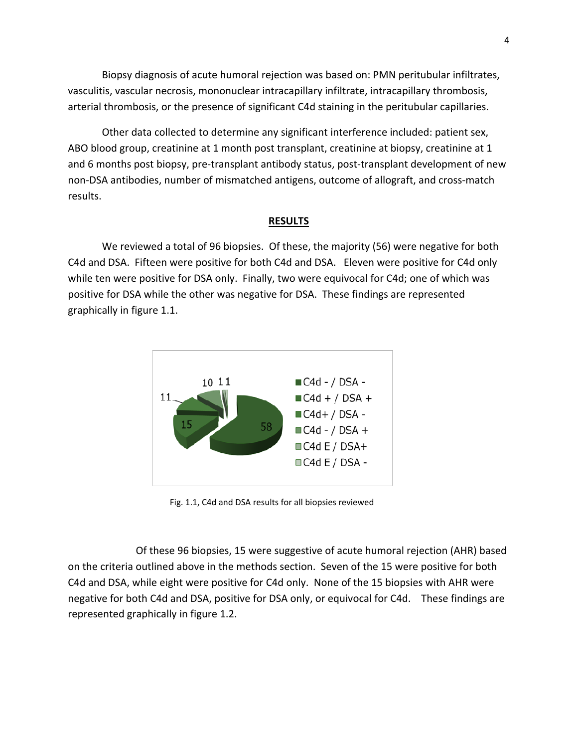Biopsy diagnosis of acute humoral rejection was based on: PMN peritubular infiltrates, vasculitis, vascular necrosis, mononuclear intracapillary infiltrate, intracapillary thrombosis, arterial thrombosis, or the presence of significant C4d staining in the peritubular capillaries.

Other data collected to determine any significant interference included: patient sex, ABO blood group, creatinine at 1 month post transplant, creatinine at biopsy, creatinine at 1 and 6 months post biopsy, pre-transplant antibody status, post-transplant development of new non‐DSA antibodies, number of mismatched antigens, outcome of allograft, and cross‐match results.

#### **RESULTS**

We reviewed a total of 96 biopsies. Of these, the majority (56) were negative for both C4d and DSA. Fifteen were positive for both C4d and DSA. Eleven were positive for C4d only while ten were positive for DSA only. Finally, two were equivocal for C4d; one of which was positive for DSA while the other was negative for DSA. These findings are represented graphically in figure 1.1.



Fig. 1.1, C4d and DSA results for all biopsies reviewed

Of these 96 biopsies, 15 were suggestive of acute humoral rejection (AHR) based on the criteria outlined above in the methods section. Seven of the 15 were positive for both C4d and DSA, while eight were positive for C4d only. None of the 15 biopsies with AHR were negative for both C4d and DSA, positive for DSA only, or equivocal for C4d. These findings are represented graphically in figure 1.2.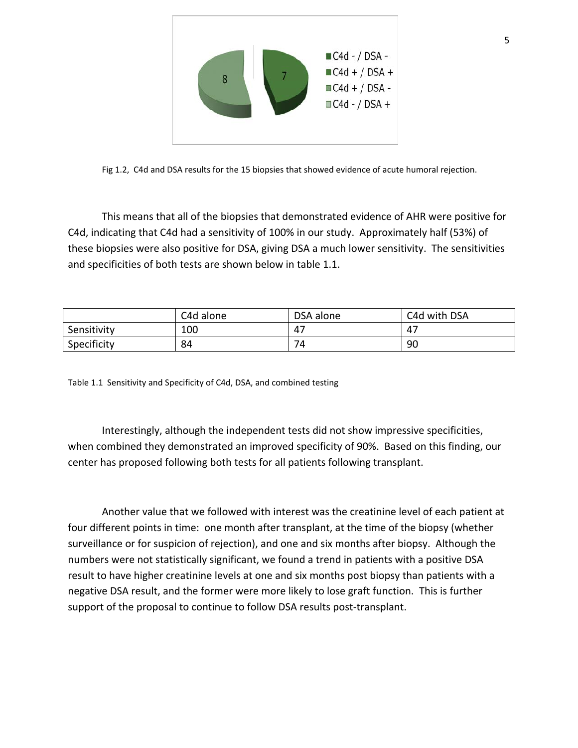

Fig 1.2, C4d and DSA results for the 15 biopsies that showed evidence of acute humoral rejection.

This means that all of the biopsies that demonstrated evidence of AHR were positive for C4d, indicating that C4d had a sensitivity of 100% in our study. Approximately half (53%) of these biopsies were also positive for DSA, giving DSA a much lower sensitivity. The sensitivities and specificities of both tests are shown below in table 1.1.

|             | C4d alone | DSA alone | C4d with DSA |
|-------------|-----------|-----------|--------------|
| Sensitivity | 100       | 47        | $4^-$        |
| Specificity | 84        | 74        | 90           |

Table 1.1 Sensitivity and Specificity of C4d, DSA, and combined testing

Interestingly, although the independent tests did not show impressive specificities, when combined they demonstrated an improved specificity of 90%. Based on this finding, our center has proposed following both tests for all patients following transplant.

Another value that we followed with interest was the creatinine level of each patient at four different points in time: one month after transplant, at the time of the biopsy (whether surveillance or for suspicion of rejection), and one and six months after biopsy. Although the numbers were not statistically significant, we found a trend in patients with a positive DSA result to have higher creatinine levels at one and six months post biopsy than patients with a negative DSA result, and the former were more likely to lose graft function. This is further support of the proposal to continue to follow DSA results post-transplant.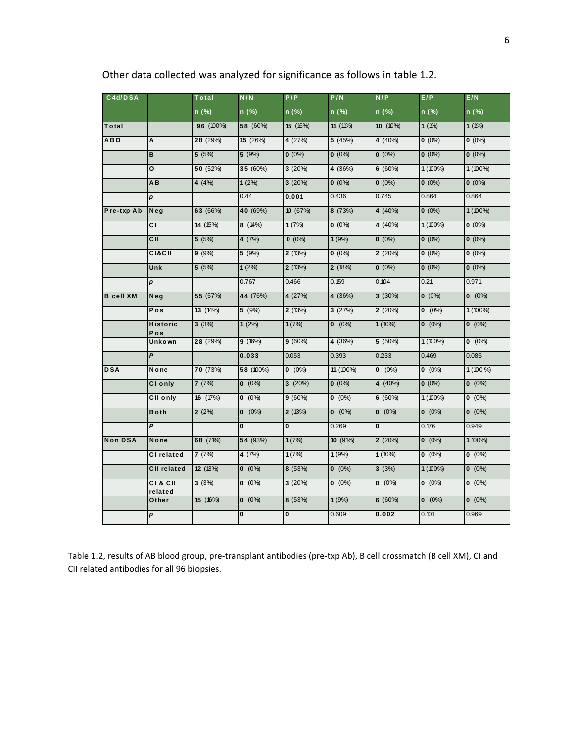| C4d/DSA          |                        | Total     | N/N          | P/P          | P/N        | N/P          | E/P        | E/N        |
|------------------|------------------------|-----------|--------------|--------------|------------|--------------|------------|------------|
|                  |                        | $n$ (%)   | $n$ (%)      | $n$ (%)      | $n$ (%)    | n (%)        | $n$ (%)    | $n$ (%)    |
| Total            |                        | 96 (100%) | 58 (60%)     | 15 (16%)     | $11(11\%)$ | $10(10\%)$   | $1(1\%)$   | $1(1\%)$   |
| <b>ABO</b>       | Α                      | 28 (29%)  | 15 (26%)     | 4 (27%)      | 5 (45%)    | 4 (40%)      | $0(0\%)$   | $0(0\%)$   |
|                  | B                      | 5(5%)     | 5(9%)        | $0(0\%)$     | $0(0\%)$   | $0(0\%)$     | $0(0\%)$   | $0(0\%)$   |
|                  | О                      | 50 (52%)  | 35 (60%)     | 3(20%)       | 4 (36%)    | 6(60%)       | 1 (100%)   | $1(100\%)$ |
|                  | AB                     | 4(4%)     | 1(2%)        | 3(20%)       | $0(0\%)$   | $0(0\%)$     | $0(0\%)$   | $0(0\%)$   |
|                  | $\boldsymbol{p}$       |           | 0.44         | 0.001        | 0.436      | 0.745        | 0.864      | 0.864      |
| Pre-txp Ab       | Neg                    | 63 (66%)  | 40 (69%)     | 10 (67%)     | 8 (73%)    | 4 (40%)      | $0(0\%)$   | $1(100\%)$ |
|                  | CI.                    | 14 (15%)  | 8(14%)       | 1(7%)        | $0(0\%)$   | 4 (40%)      | $1(100\%)$ | $0(0\%)$   |
|                  | C II                   | 5(5%)     | 4 (7%)       | $0(0\%)$     | 1(9%)      | $0(0\%)$     | $0(0\%)$   | $0(0\%)$   |
|                  | <b>CI&amp;CII</b>      | 9(9%)     | 5(9%)        | 2(13%)       | $0(0\%)$   | 2(20%)       | $0(0\%)$   | $0(0\%)$   |
|                  | Unk                    | 5(5%)     | 1(2%)        | 2(13%)       | 2(18%)     | $0(0\%)$     | $0(0\%)$   | $0(0\%)$   |
|                  | p                      |           | 0.767        | 0.466        | 0.159      | 0.104        | 0.21       | 0.971      |
| <b>B</b> cell XM | Neg                    | 55 (57%)  | 44 (76%)     | 4 (27%)      | 4 (36%)    | $3(30\%)$    | $0 (0\%)$  | $0 (0\%)$  |
|                  | Pos                    | 13 (14%)  | 5(9%)        | 2(13%)       | 3(27%)     | 2(20%)       | $0 (0\%)$  | $1(100\%)$ |
|                  | <b>Historic</b><br>Pos | 3(3%)     | 1(2%)        | 1(7%)        | $0 (0\%)$  | $1(10\%)$    | $0 (0\%)$  | $0 (0\%)$  |
|                  | Unkown                 | 28 (29%)  | 9(16%)       | 9(60%)       | 4 (36%)    | 5 (50%)      | $1(100\%)$ | $0 (0\%)$  |
|                  | P                      |           | 0.033        | 0.053        | 0.393      | 0.233        | 0.469      | 0.085      |
| <b>DSA</b>       | None                   | 70 (73%)  | 58 (100%)    | $0 (0\%)$    | 11 (100%)  | $0 (0\%)$    | $0 (0\%)$  | $1(100\%)$ |
|                  | CI only                | 7(7%)     | $0 (0\%)$    | 3(20%)       | $0(0\%)$   | 4 (40%)      | $0(0\%)$   | $0 (0\%)$  |
|                  | CII only               | 16 (17%)  | $0 (0\%)$    | 9(60%)       | $0 (0\%)$  | 6(60%)       | $1(100\%)$ | $0 (0\%)$  |
|                  | <b>Both</b>            | 2(2%)     | $0 (0\%)$    | 2(13%)       | $0 (0\%)$  | $0 (0\%)$    | $0 (0\%)$  | $0 (0\%)$  |
|                  | P                      |           | 0            | $\mathbf{0}$ | 0.269      | $\mathbf{0}$ | 0.176      | 0.949      |
| <b>Non DSA</b>   | None                   | 68 (71%)  | 54 (93%)     | 1(7%)        | 10(91%)    | 2(20%)       | $0 (0\%)$  | 1 100%)    |
|                  | <b>CI</b> related      | 7(7%)     | 4 (7%)       | 1(7%)        | 1(9%)      | $1(10\%)$    | $0 (0\%)$  | $0 (0\%)$  |
|                  | <b>CII related</b>     | 12 (13%)  | $0 (0\%)$    | 8 (53%)      | $0 (0\%)$  | 3(3%)        | $1(100\%)$ | $0 (0\%)$  |
|                  | C1 & CII<br>related    | 3(3%)     | $0 (0\%)$    | 3(20%)       | $0 (0\%)$  | $0 (0\%)$    | $0 (0\%)$  | $0 (0\%)$  |
|                  | Other                  | 15 (16%)  | $0 (0\%)$    | 8 (53%)      | 1(9%)      | 6(60%)       | $0 (0\%)$  | $0 (0\%)$  |
|                  | p                      |           | $\mathbf{0}$ | $\mathbf{0}$ | 0.609      | 0.002        | 0.101      | 0.969      |
|                  |                        |           |              |              |            |              |            |            |

Other data collected was analyzed for significance as follows in table 1.2.

Table 1.2, results of AB blood group, pre‐transplant antibodies (pre‐txp Ab), B cell crossmatch (B cell XM), CI and CII related antibodies for all 96 biopsies.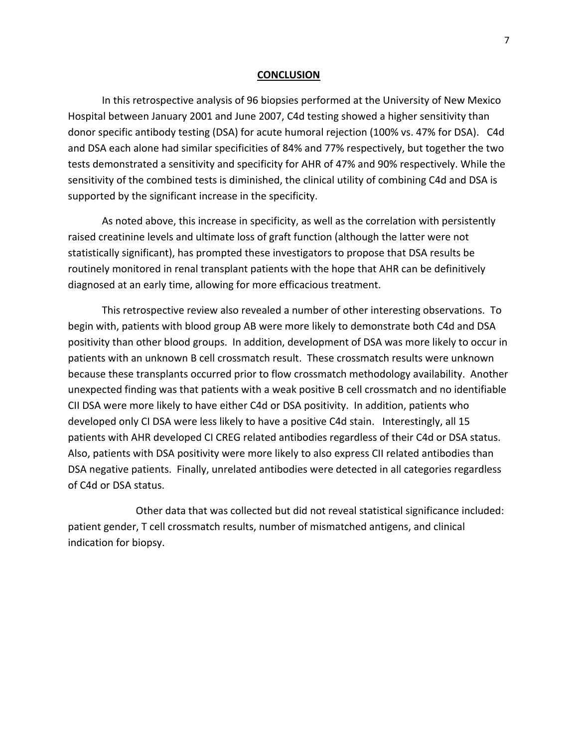#### **CONCLUSION**

In this retrospective analysis of 96 biopsies performed at the University of New Mexico Hospital between January 2001 and June 2007, C4d testing showed a higher sensitivity than donor specific antibody testing (DSA) for acute humoral rejection (100% vs. 47% for DSA). C4d and DSA each alone had similar specificities of 84% and 77% respectively, but together the two tests demonstrated a sensitivity and specificity for AHR of 47% and 90% respectively. While the sensitivity of the combined tests is diminished, the clinical utility of combining C4d and DSA is supported by the significant increase in the specificity.

As noted above, this increase in specificity, as well as the correlation with persistently raised creatinine levels and ultimate loss of graft function (although the latter were not statistically significant), has prompted these investigators to propose that DSA results be routinely monitored in renal transplant patients with the hope that AHR can be definitively diagnosed at an early time, allowing for more efficacious treatment.

This retrospective review also revealed a number of other interesting observations. To begin with, patients with blood group AB were more likely to demonstrate both C4d and DSA positivity than other blood groups. In addition, development of DSA was more likely to occur in patients with an unknown B cell crossmatch result. These crossmatch results were unknown because these transplants occurred prior to flow crossmatch methodology availability. Another unexpected finding was that patients with a weak positive B cell crossmatch and no identifiable CII DSA were more likely to have either C4d or DSA positivity. In addition, patients who developed only CI DSA were less likely to have a positive C4d stain. Interestingly, all 15 patients with AHR developed CI CREG related antibodies regardless of their C4d or DSA status. Also, patients with DSA positivity were more likely to also express CII related antibodies than DSA negative patients. Finally, unrelated antibodies were detected in all categories regardless of C4d or DSA status.

 Other data that was collected but did not reveal statistical significance included: patient gender, T cell crossmatch results, number of mismatched antigens, and clinical indication for biopsy.